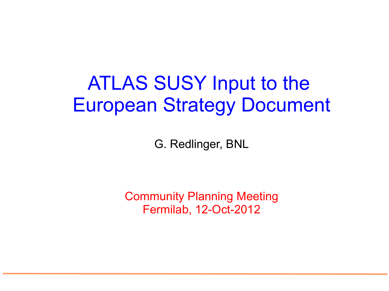### ATLAS SUSY Input to the European Strategy Document

G. Redlinger, BNL

Community Planning Meeting Fermilab, 12-Oct-2012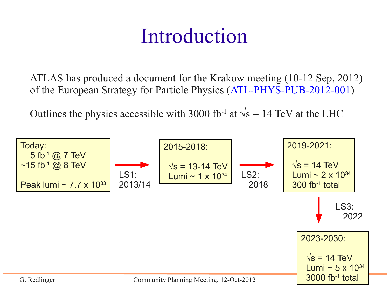### Introduction

ATLAS has produced a document for the Krakow meeting (10-12 Sep, 2012) of the European Strategy for Particle Physics ([ATL-PHYS-PUB-2012-001\)](http://cdsweb.cern.ch/record/1472518)

Outlines the physics accessible with 3000 fb<sup>-1</sup> at  $\sqrt{s}$  = 14 TeV at the LHC

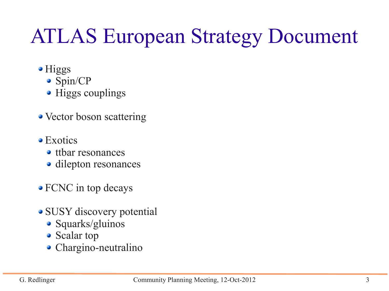## ATLAS European Strategy Document

- Higgs
	- Spin/CP
	- Higgs couplings
- Vector boson scattering
- Exotics
	- ttbar resonances
	- dilepton resonances
- FCNC in top decays
- SUSY discovery potential
	- Squarks/gluinos
	- Scalar top
	- Chargino-neutralino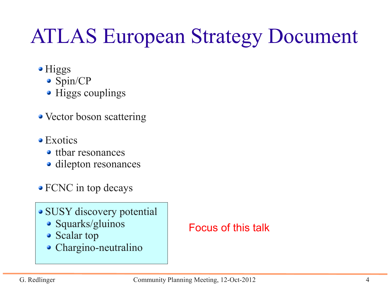## ATLAS European Strategy Document

- Higgs
	- Spin/CP
	- Higgs couplings
- Vector boson scattering
- Exotics
	- ttbar resonances
	- dilepton resonances
- FCNC in top decays
- SUSY discovery potential
	- Squarks/gluinos
	- Scalar top
	- Chargino-neutralino

#### Focus of this talk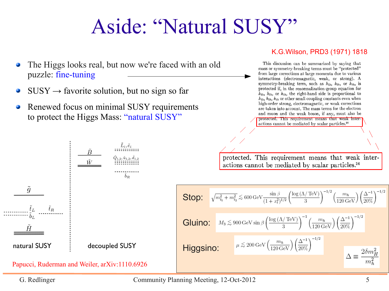## Aside: "Natural SUSY"

- The Higgs looks real, but now we're faced with an old puzzle: fine-tuning
- $SUSY \rightarrow$  favorite solution, but no sign so far
- Renewed focus on minimal SUSY requirements to protect the Higgs Mass: "natural SUSY"



This discussion can be summarized by saying that mass or symmetry-breaking terms must be "protected" from large corrections at large momenta due to various interactions (electromagnetic, weak, or strong). A symmetry-breaking term, such as  $h_{1\lambda}$ ,  $h_{2\lambda}$ , or  $h_{3\lambda}$ , is protected if, in the renormalization-group equation for  $h_{1\lambda}$ ,  $h_{2\lambda}$ , or  $h_{3\lambda}$ , the right-hand side is proportional to  $h_{1\lambda}$ ,  $h_{2\lambda}$ ,  $h_{3\lambda}$  or other small coupling constants even when high-order strong, electromagnetic, or weak corrections are taken into account. The mass terms for the electron and muon and the weak boson, if any, must also be protected. This requirement means that weak interactions cannot be mediated by scalar particles.<sup>36</sup>

protected. This requirement means that weak interactions cannot be mediated by scalar particles.<sup>36</sup>

**Stop:**

\n
$$
\sqrt{m_{\tilde{t}_1}^2 + m_{\tilde{t}_2}^2} \lesssim 600 \,\mathrm{GeV} \frac{\sin \beta}{(1 + x_t^2)^{1/2}} \left( \frac{\log \left( \Lambda / \,\mathrm{TeV} \right)}{3} \right)^{-1/2} \left( \frac{m_h}{120 \,\mathrm{GeV}} \right) \left( \frac{\Delta^{-1}}{20\%} \right)^{-1/2}
$$
\n**Gluino:**

\n
$$
M_3 \lesssim 900 \,\mathrm{GeV} \sin \beta \left( \frac{\log \left( \Lambda / \,\mathrm{TeV} \right)}{3} \right)^{-1} \left( \frac{m_h}{120 \,\mathrm{GeV}} \right) \left( \frac{\Delta^{-1}}{20\%} \right)^{-1/2}
$$
\n**Higgsino:**

\n
$$
\mu \lesssim 200 \,\mathrm{GeV} \left( \frac{m_h}{120 \,\mathrm{GeV}} \right) \left( \frac{\Delta^{-1}}{20\%} \right)^{-1/2}
$$
\n
$$
\Delta \equiv \frac{2\delta m_H^2}{m_h^2}
$$

Papucci, Ruderman and Weiler, arXiv:1110.6926

G. Redlinger Community Planning Meeting, 12-Oct-2012 5

K.G.Wilson, PRD3 (1971) 1818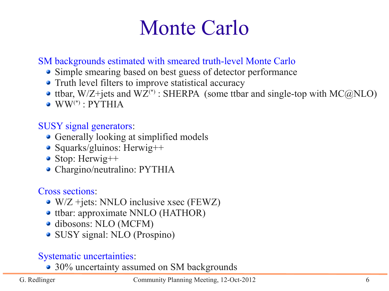### Monte Carlo

#### SM backgrounds estimated with smeared truth-level Monte Carlo

- Simple smearing based on best guess of detector performance
- Truth level filters to improve statistical accuracy
- ttbar,  $W/Z + jets$  and  $WZ^{(*)}$ : SHERPA (some ttbar and single-top with  $MC@NLO$ )
- $\bullet$  WW<sup>(\*)</sup> : PYTHIA

#### SUSY signal generators:

- Generally looking at simplified models
- Squarks/gluinos: Herwig++
- Stop: Herwig++
- Chargino/neutralino: PYTHIA

#### Cross sections:

- W/Z +jets: NNLO inclusive xsec (FEWZ)
- ttbar: approximate NNLO (HATHOR)
- dibosons: NLO (MCFM)
- SUSY signal: NLO (Prospino)

#### Systematic uncertainties:

• 30% uncertainty assumed on SM backgrounds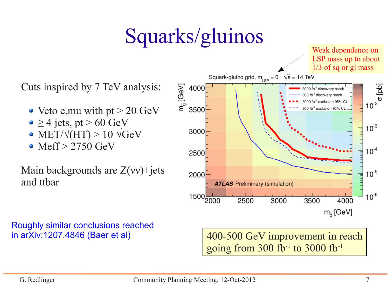## Squarks/gluinos

Cuts inspired by 7 TeV analysis:

- Veto e, mu with pt  $> 20 \text{ GeV}$
- $\bullet \geq 4$  jets, pt > 60 GeV
- $\bullet$  MET/ $\sqrt{(HT)}$  > 10  $\sqrt{GeV}$
- Meff > 2750 GeV

Main backgrounds are  $Z(vv)$ +jets and ttbar

Roughly similar conclusions reached in arXiv:1207.4846 (Baer et al)



400-500 GeV improvement in reach going from 300 fb<sup>-1</sup> to 3000 fb<sup>-1</sup>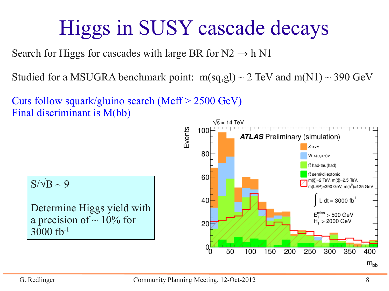# Higgs in SUSY cascade decays

Search for Higgs for cascades with large BR for  $N2 \rightarrow h N1$ 

Studied for a MSUGRA benchmark point:  $m(sq,gl) \sim 2 \text{ TeV}$  and  $m(N1) \sim 390 \text{ GeV}$ 

Cuts follow squark/gluino search (Meff > 2500 GeV) Final discriminant is M(bb)



Determine Higgs yield with a precision of  $\sim$  10% for 3000 fb-1

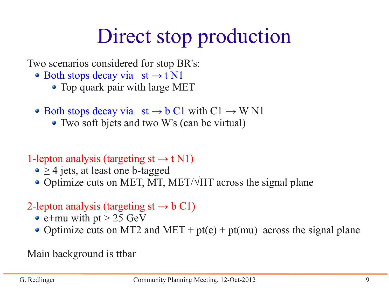# Direct stop production

Two scenarios considered for stop BR's:

- Both stops decay via  $st \rightarrow t N1$ 
	- Top quark pair with large MET
- Both stops decay via  $st \rightarrow b C1$  with  $C1 \rightarrow W N1$ 
	- Two soft bjets and two W's (can be virtual)
- 1-lepton analysis (targeting st  $\rightarrow$  t N1)
	- $\bullet \geq 4$  jets, at least one b-tagged
	- Optimize cuts on MET, MT, MET/ $\sqrt{HT}$  across the signal plane

#### 2-lepton analysis (targeting  $st \rightarrow b \ C1$ )

- $\bullet$  e+mu with pt > 25 GeV
- Optimize cuts on MT2 and MET +  $pt(e)$  +  $pt(mu)$  across the signal plane

Main background is ttbar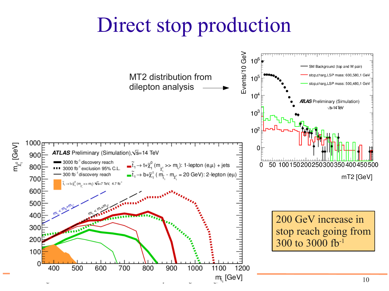### Direct stop production

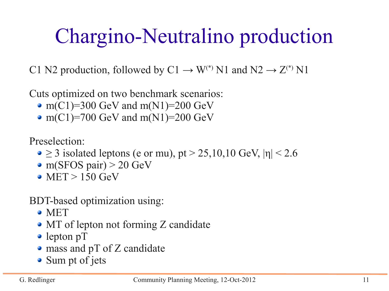# Chargino-Neutralino production

C1 N2 production, followed by C1  $\rightarrow$  W<sup>(\*)</sup> N1 and N2  $\rightarrow$  Z<sup>(\*)</sup> N1

Cuts optimized on two benchmark scenarios:

- $m(C1)=300$  GeV and  $m(N1)=200$  GeV
- $m(C1) = 700$  GeV and  $m(N1) = 200$  GeV

Preselection:

- $\geq$  3 isolated leptons (e or mu), pt > 25,10,10 GeV,  $|\eta|$  < 2.6
- m(SFOS pair)  $> 20$  GeV
- $\bullet$  MET > 150 GeV

BDT-based optimization using:

- **MET**
- MT of lepton not forming Z candidate
- lepton pT
- mass and pT of Z candidate
- Sum pt of jets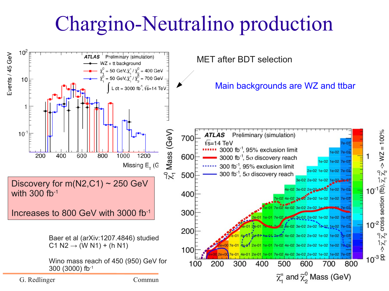### Chargino-Neutralino production